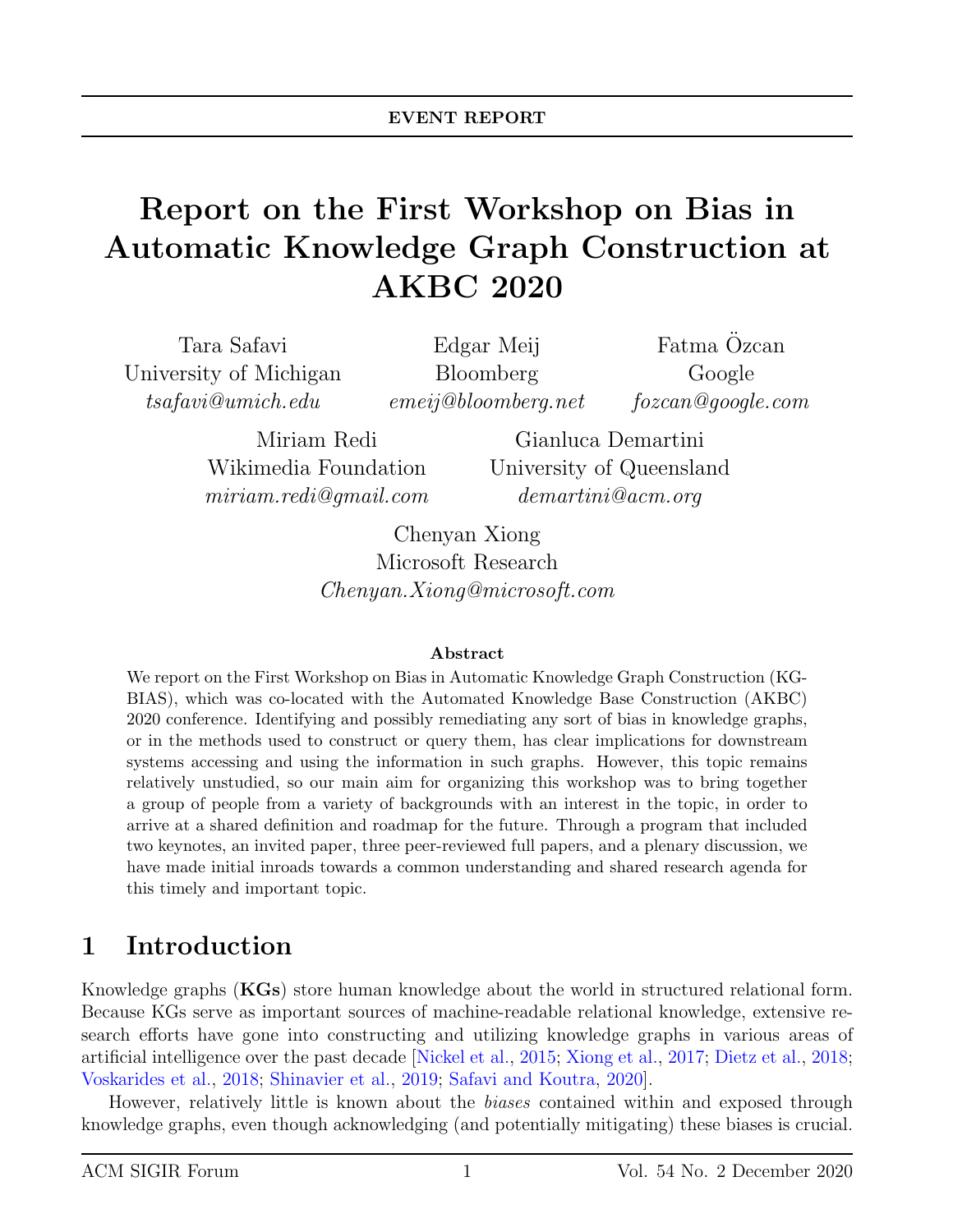# Report on the First Workshop on Bias in Automatic Knowledge Graph Construction at AKBC 2020

Tara Safavi University of Michigan tsafavi@umich.edu

Edgar Meij Bloomberg emeij@bloomberg.net

Fatma Özcan Google fozcan@google.com

Miriam Redi Wikimedia Foundation miriam.redi@gmail.com

Gianluca Demartini University of Queensland demartini@acm.org

Chenyan Xiong Microsoft Research Chenyan.Xiong@microsoft.com

#### Abstract

We report on the First Workshop on Bias in Automatic Knowledge Graph Construction (KG-BIAS), which was co-located with the Automated Knowledge Base Construction (AKBC) 2020 conference. Identifying and possibly remediating any sort of bias in knowledge graphs, or in the methods used to construct or query them, has clear implications for downstream systems accessing and using the information in such graphs. However, this topic remains relatively unstudied, so our main aim for organizing this workshop was to bring together a group of people from a variety of backgrounds with an interest in the topic, in order to arrive at a shared definition and roadmap for the future. Through a program that included two keynotes, an invited paper, three peer-reviewed full papers, and a plenary discussion, we have made initial inroads towards a common understanding and shared research agenda for this timely and important topic.

### 1 Introduction

Knowledge graphs (KGs) store human knowledge about the world in structured relational form. Because KGs serve as important sources of machine-readable relational knowledge, extensive research efforts have gone into constructing and utilizing knowledge graphs in various areas of artificial intelligence over the past decade [\[Nickel et al.,](#page-8-0) [2015;](#page-8-0) [Xiong et al.,](#page-8-1) [2017;](#page-8-1) [Dietz et al.,](#page-7-0) [2018;](#page-7-0) [Voskarides et al.,](#page-8-2) [2018;](#page-8-2) [Shinavier et al.,](#page-8-3) [2019;](#page-8-3) [Safavi and Koutra,](#page-8-4) [2020\]](#page-8-4).

However, relatively little is known about the biases contained within and exposed through knowledge graphs, even though acknowledging (and potentially mitigating) these biases is crucial.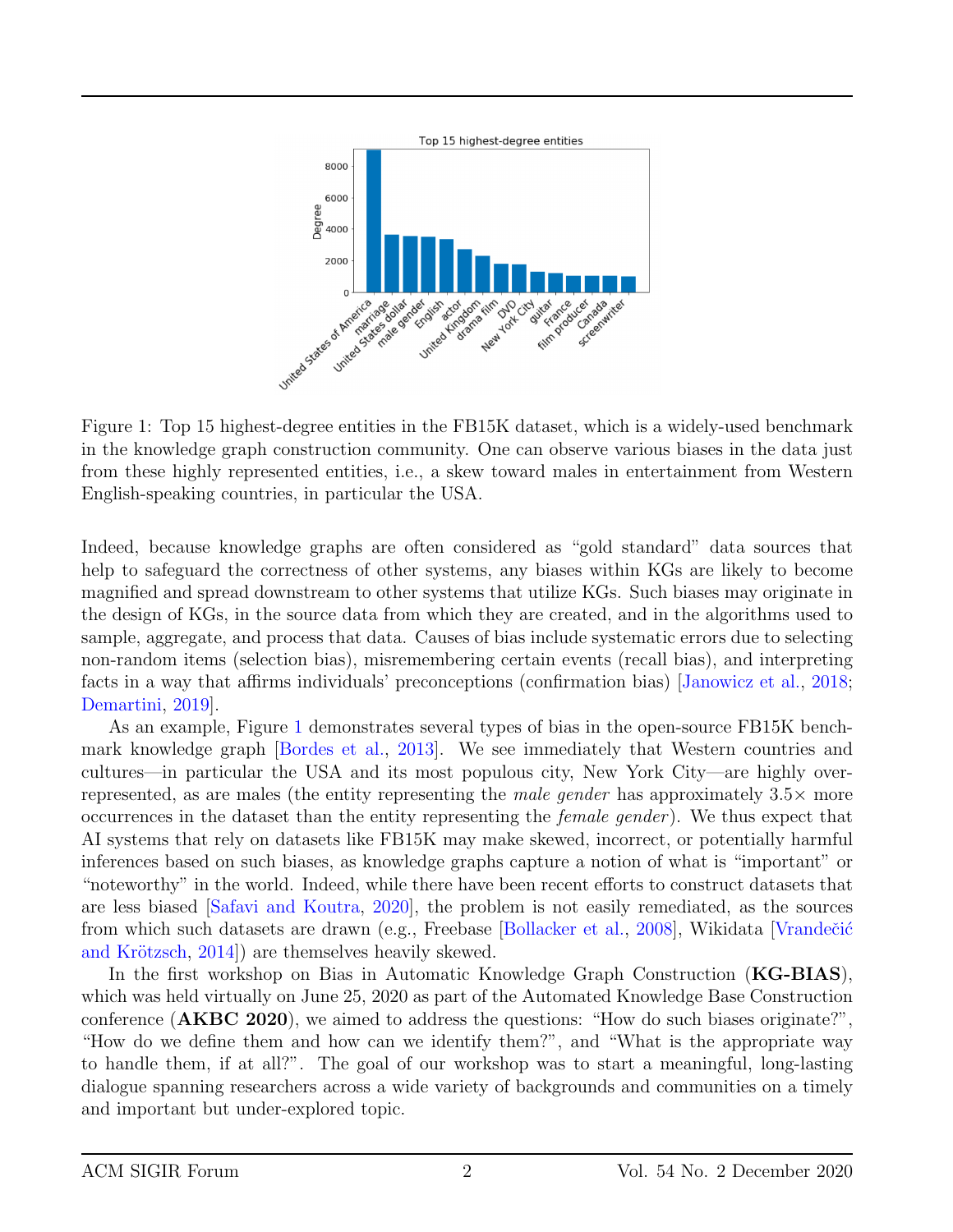

<span id="page-1-0"></span>Figure 1: Top 15 highest-degree entities in the FB15K dataset, which is a widely-used benchmark in the knowledge graph construction community. One can observe various biases in the data just from these highly represented entities, i.e., a skew toward males in entertainment from Western English-speaking countries, in particular the USA.

Indeed, because knowledge graphs are often considered as "gold standard" data sources that help to safeguard the correctness of other systems, any biases within KGs are likely to become magnified and spread downstream to other systems that utilize KGs. Such biases may originate in the design of KGs, in the source data from which they are created, and in the algorithms used to sample, aggregate, and process that data. Causes of bias include systematic errors due to selecting non-random items (selection bias), misremembering certain events (recall bias), and interpreting facts in a way that affirms individuals' preconceptions (confirmation bias) [\[Janowicz et al.,](#page-7-1) [2018;](#page-7-1) [Demartini,](#page-7-2) [2019\]](#page-7-2).

As an example, Figure [1](#page-1-0) demonstrates several types of bias in the open-source FB15K benchmark knowledge graph [\[Bordes et al.,](#page-7-3) [2013\]](#page-7-3). We see immediately that Western countries and cultures—in particular the USA and its most populous city, New York City—are highly overrepresented, as are males (the entity representing the *male gender* has approximately  $3.5\times$  more occurrences in the dataset than the entity representing the female gender ). We thus expect that AI systems that rely on datasets like FB15K may make skewed, incorrect, or potentially harmful inferences based on such biases, as knowledge graphs capture a notion of what is "important" or "noteworthy" in the world. Indeed, while there have been recent efforts to construct datasets that are less biased [\[Safavi and Koutra,](#page-8-4) [2020\]](#page-8-4), the problem is not easily remediated, as the sources from which such datasets are drawn (e.g., Freebase [\[Bollacker et al.,](#page-7-4) [2008\]](#page-7-4), Wikidata [Vrandečić] and Krötzsch, [2014\]](#page-8-5)) are themselves heavily skewed.

In the first workshop on Bias in Automatic Knowledge Graph Construction (KG-BIAS), which was held virtually on June 25, 2020 as part of the Automated Knowledge Base Construction conference (AKBC 2020), we aimed to address the questions: "How do such biases originate?", "How do we define them and how can we identify them?", and "What is the appropriate way to handle them, if at all?". The goal of our workshop was to start a meaningful, long-lasting dialogue spanning researchers across a wide variety of backgrounds and communities on a timely and important but under-explored topic.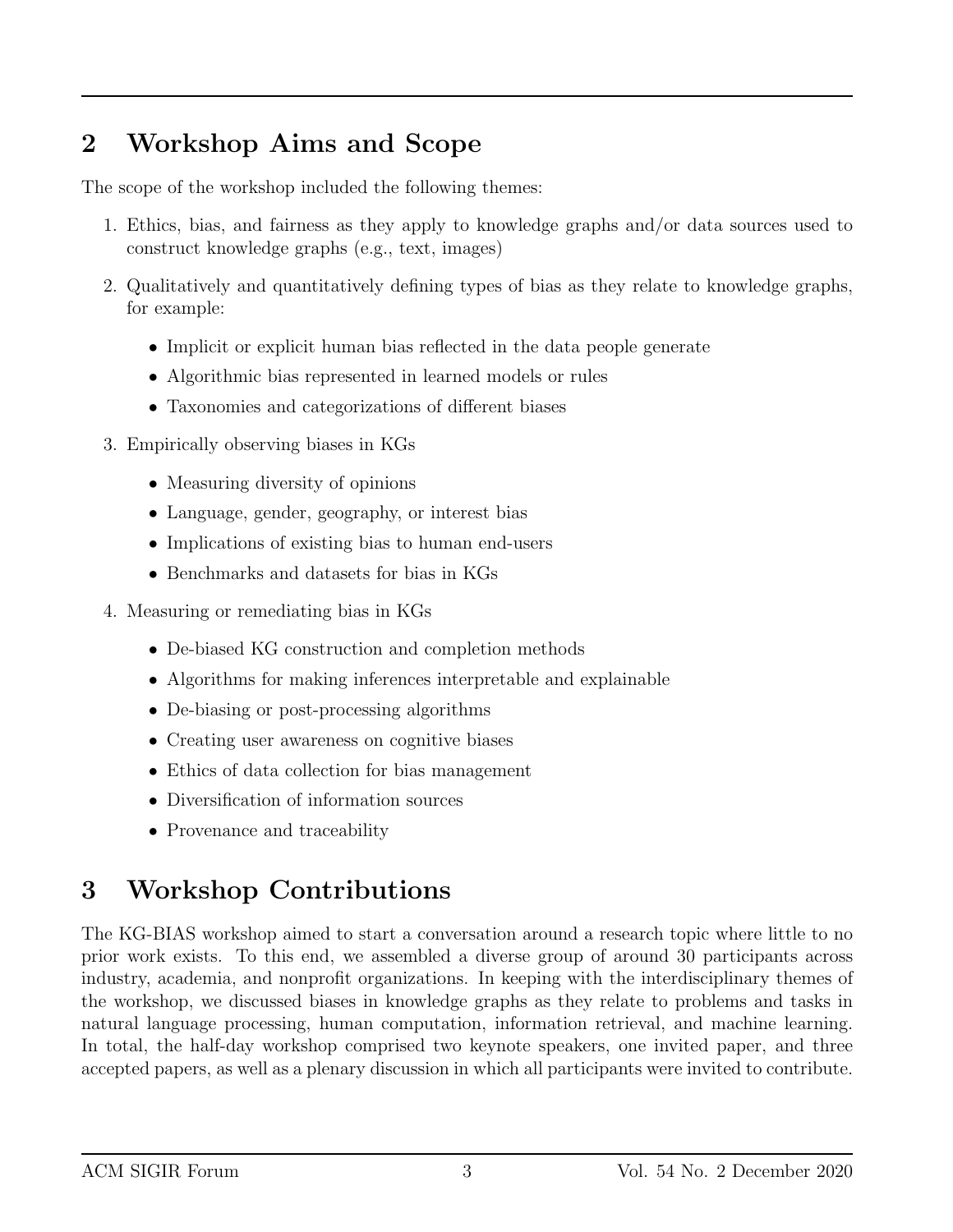### 2 Workshop Aims and Scope

The scope of the workshop included the following themes:

- 1. Ethics, bias, and fairness as they apply to knowledge graphs and/or data sources used to construct knowledge graphs (e.g., text, images)
- 2. Qualitatively and quantitatively defining types of bias as they relate to knowledge graphs, for example:
	- Implicit or explicit human bias reflected in the data people generate
	- Algorithmic bias represented in learned models or rules
	- Taxonomies and categorizations of different biases
- 3. Empirically observing biases in KGs
	- Measuring diversity of opinions
	- Language, gender, geography, or interest bias
	- Implications of existing bias to human end-users
	- Benchmarks and datasets for bias in KGs
- 4. Measuring or remediating bias in KGs
	- De-biased KG construction and completion methods
	- Algorithms for making inferences interpretable and explainable
	- De-biasing or post-processing algorithms
	- Creating user awareness on cognitive biases
	- Ethics of data collection for bias management
	- Diversification of information sources
	- Provenance and traceability

# 3 Workshop Contributions

The KG-BIAS workshop aimed to start a conversation around a research topic where little to no prior work exists. To this end, we assembled a diverse group of around 30 participants across industry, academia, and nonprofit organizations. In keeping with the interdisciplinary themes of the workshop, we discussed biases in knowledge graphs as they relate to problems and tasks in natural language processing, human computation, information retrieval, and machine learning. In total, the half-day workshop comprised two keynote speakers, one invited paper, and three accepted papers, as well as a plenary discussion in which all participants were invited to contribute.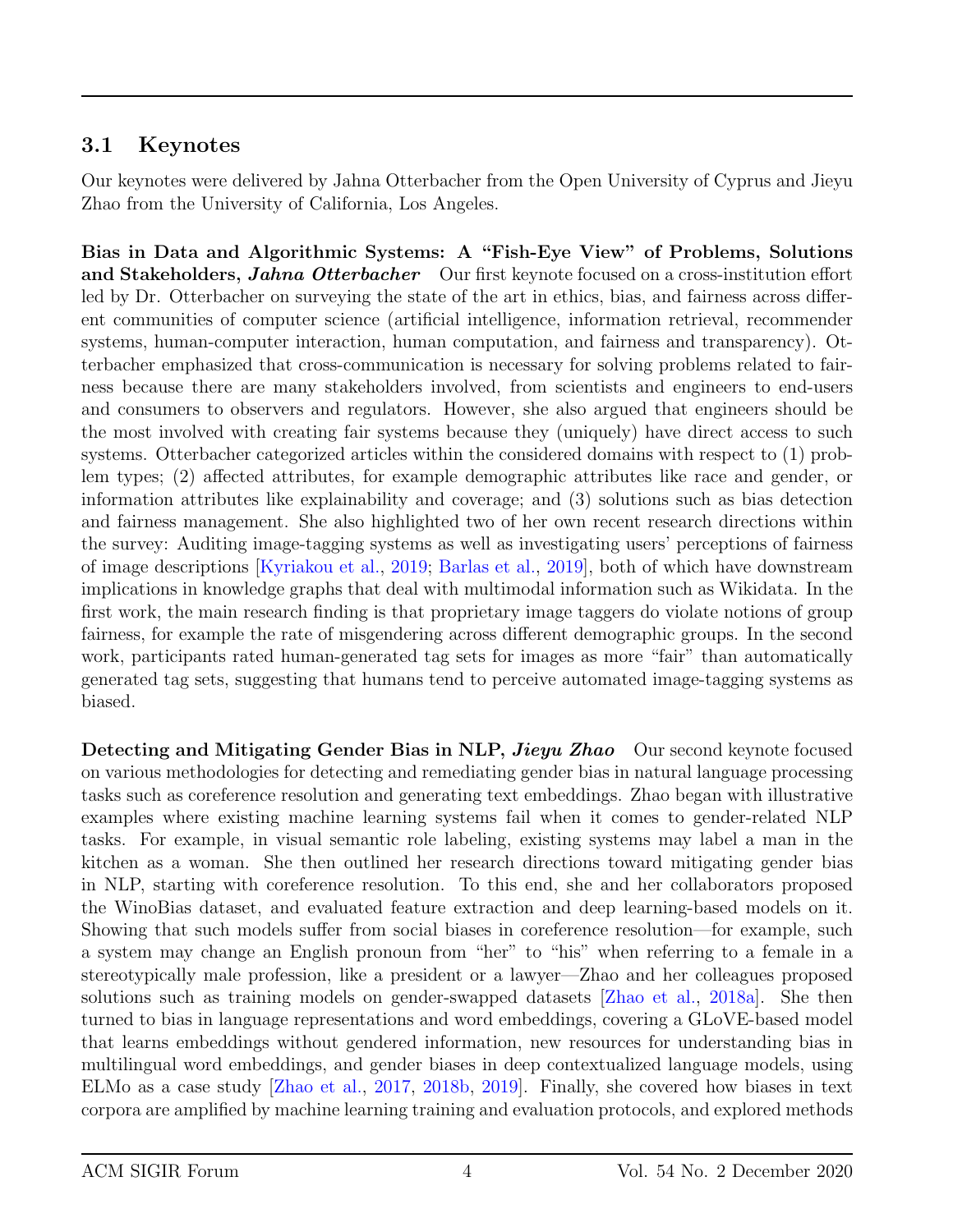#### 3.1 Keynotes

Our keynotes were delivered by Jahna Otterbacher from the Open University of Cyprus and Jieyu Zhao from the University of California, Los Angeles.

Bias in Data and Algorithmic Systems: A "Fish-Eye View" of Problems, Solutions and Stakeholders, *Jahna Otterbacher* Our first keynote focused on a cross-institution effort led by Dr. Otterbacher on surveying the state of the art in ethics, bias, and fairness across different communities of computer science (artificial intelligence, information retrieval, recommender systems, human-computer interaction, human computation, and fairness and transparency). Otterbacher emphasized that cross-communication is necessary for solving problems related to fairness because there are many stakeholders involved, from scientists and engineers to end-users and consumers to observers and regulators. However, she also argued that engineers should be the most involved with creating fair systems because they (uniquely) have direct access to such systems. Otterbacher categorized articles within the considered domains with respect to (1) problem types; (2) affected attributes, for example demographic attributes like race and gender, or information attributes like explainability and coverage; and (3) solutions such as bias detection and fairness management. She also highlighted two of her own recent research directions within the survey: Auditing image-tagging systems as well as investigating users' perceptions of fairness of image descriptions [\[Kyriakou et al.,](#page-7-5) [2019;](#page-7-5) [Barlas et al.,](#page-7-6) [2019\]](#page-7-6), both of which have downstream implications in knowledge graphs that deal with multimodal information such as Wikidata. In the first work, the main research finding is that proprietary image taggers do violate notions of group fairness, for example the rate of misgendering across different demographic groups. In the second work, participants rated human-generated tag sets for images as more "fair" than automatically generated tag sets, suggesting that humans tend to perceive automated image-tagging systems as biased.

Detecting and Mitigating Gender Bias in NLP, *Jieyu Zhao* Our second keynote focused on various methodologies for detecting and remediating gender bias in natural language processing tasks such as coreference resolution and generating text embeddings. Zhao began with illustrative examples where existing machine learning systems fail when it comes to gender-related NLP tasks. For example, in visual semantic role labeling, existing systems may label a man in the kitchen as a woman. She then outlined her research directions toward mitigating gender bias in NLP, starting with coreference resolution. To this end, she and her collaborators proposed the WinoBias dataset, and evaluated feature extraction and deep learning-based models on it. Showing that such models suffer from social biases in coreference resolution—for example, such a system may change an English pronoun from "her" to "his" when referring to a female in a stereotypically male profession, like a president or a lawyer—Zhao and her colleagues proposed solutions such as training models on gender-swapped datasets [\[Zhao et al.,](#page-8-6) [2018a\]](#page-8-6). She then turned to bias in language representations and word embeddings, covering a GLoVE-based model that learns embeddings without gendered information, new resources for understanding bias in multilingual word embeddings, and gender biases in deep contextualized language models, using ELMo as a case study [\[Zhao et al.,](#page-8-7) [2017,](#page-8-7) [2018b,](#page-8-8) [2019\]](#page-8-9). Finally, she covered how biases in text corpora are amplified by machine learning training and evaluation protocols, and explored methods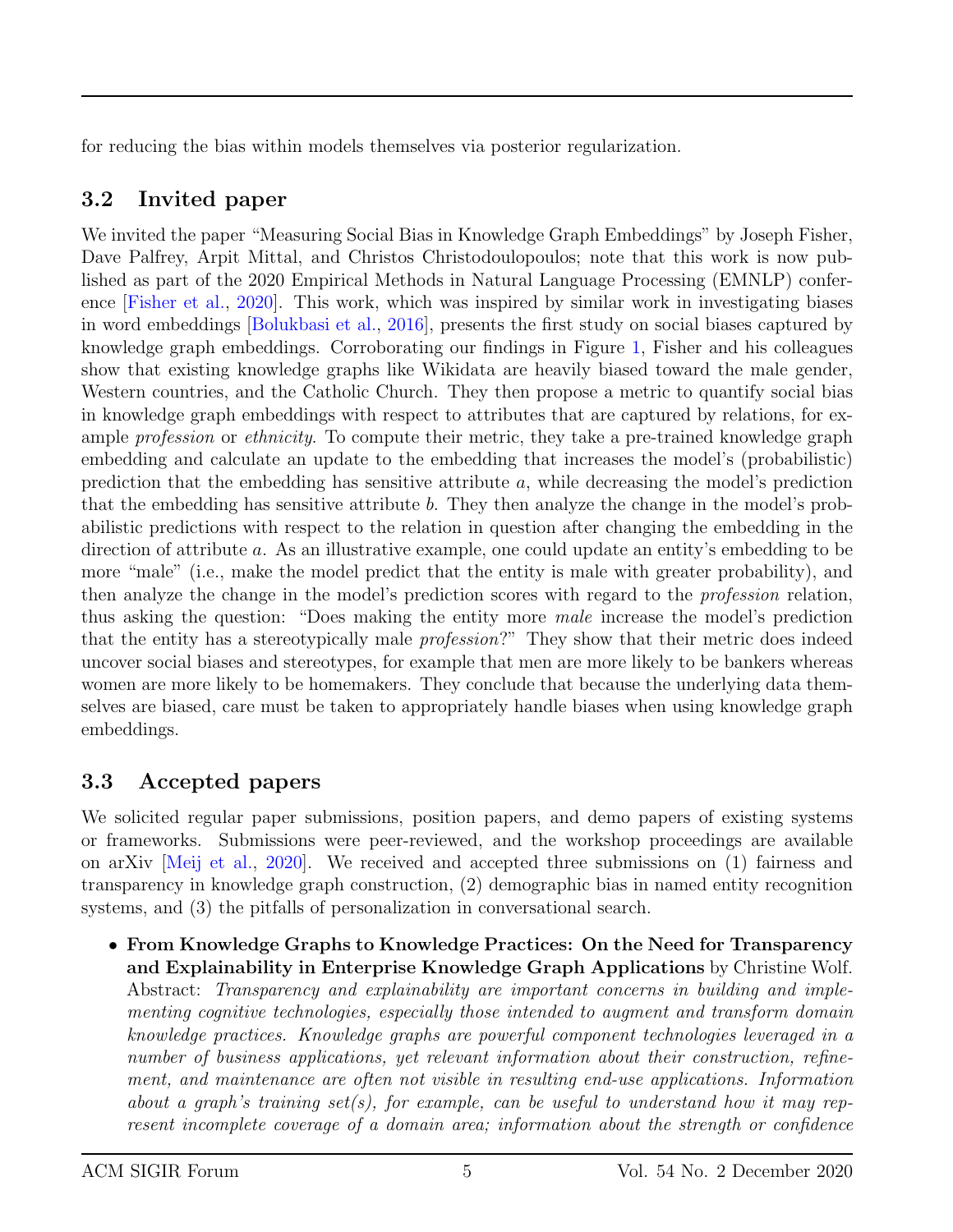for reducing the bias within models themselves via posterior regularization.

#### 3.2 Invited paper

We invited the paper "Measuring Social Bias in Knowledge Graph Embeddings" by Joseph Fisher, Dave Palfrey, Arpit Mittal, and Christos Christodoulopoulos; note that this work is now published as part of the 2020 Empirical Methods in Natural Language Processing (EMNLP) conference [\[Fisher et al.,](#page-7-7) [2020\]](#page-7-7). This work, which was inspired by similar work in investigating biases in word embeddings [\[Bolukbasi et al.,](#page-7-8) [2016\]](#page-7-8), presents the first study on social biases captured by knowledge graph embeddings. Corroborating our findings in Figure [1,](#page-1-0) Fisher and his colleagues show that existing knowledge graphs like Wikidata are heavily biased toward the male gender, Western countries, and the Catholic Church. They then propose a metric to quantify social bias in knowledge graph embeddings with respect to attributes that are captured by relations, for example *profession* or *ethnicity*. To compute their metric, they take a pre-trained knowledge graph embedding and calculate an update to the embedding that increases the model's (probabilistic) prediction that the embedding has sensitive attribute  $a$ , while decreasing the model's prediction that the embedding has sensitive attribute  $b$ . They then analyze the change in the model's probabilistic predictions with respect to the relation in question after changing the embedding in the direction of attribute a. As an illustrative example, one could update an entity's embedding to be more "male" (i.e., make the model predict that the entity is male with greater probability), and then analyze the change in the model's prediction scores with regard to the profession relation, thus asking the question: "Does making the entity more male increase the model's prediction that the entity has a stereotypically male profession?" They show that their metric does indeed uncover social biases and stereotypes, for example that men are more likely to be bankers whereas women are more likely to be homemakers. They conclude that because the underlying data themselves are biased, care must be taken to appropriately handle biases when using knowledge graph embeddings.

#### 3.3 Accepted papers

We solicited regular paper submissions, position papers, and demo papers of existing systems or frameworks. Submissions were peer-reviewed, and the workshop proceedings are available on arXiv [\[Meij et al.,](#page-7-9) [2020\]](#page-7-9). We received and accepted three submissions on (1) fairness and transparency in knowledge graph construction, (2) demographic bias in named entity recognition systems, and (3) the pitfalls of personalization in conversational search.

• From Knowledge Graphs to Knowledge Practices: On the Need for Transparency and Explainability in Enterprise Knowledge Graph Applications by Christine Wolf. Abstract: Transparency and explainability are important concerns in building and implementing cognitive technologies, especially those intended to augment and transform domain knowledge practices. Knowledge graphs are powerful component technologies leveraged in a number of business applications, yet relevant information about their construction, refinement, and maintenance are often not visible in resulting end-use applications. Information about a graph's training set(s), for example, can be useful to understand how it may represent incomplete coverage of a domain area; information about the strength or confidence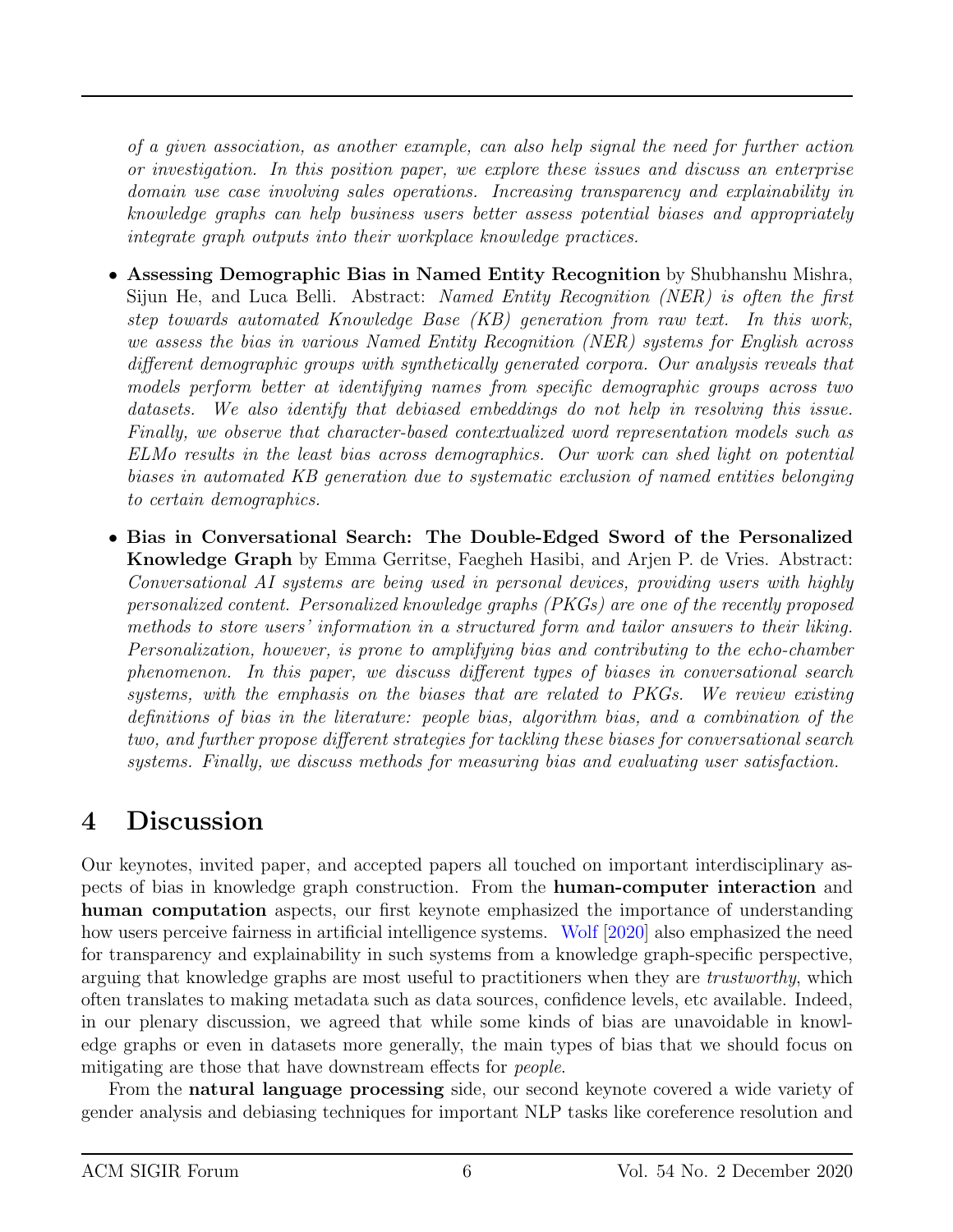of a given association, as another example, can also help signal the need for further action or investigation. In this position paper, we explore these issues and discuss an enterprise domain use case involving sales operations. Increasing transparency and explainability in knowledge graphs can help business users better assess potential biases and appropriately integrate graph outputs into their workplace knowledge practices.

- Assessing Demographic Bias in Named Entity Recognition by Shubhanshu Mishra, Sijun He, and Luca Belli. Abstract: Named Entity Recognition (NER) is often the first step towards automated Knowledge Base (KB) generation from raw text. In this work, we assess the bias in various Named Entity Recognition (NER) systems for English across different demographic groups with synthetically generated corpora. Our analysis reveals that models perform better at identifying names from specific demographic groups across two datasets. We also identify that debiased embeddings do not help in resolving this issue. Finally, we observe that character-based contextualized word representation models such as ELMo results in the least bias across demographics. Our work can shed light on potential biases in automated KB generation due to systematic exclusion of named entities belonging to certain demographics.
- Bias in Conversational Search: The Double-Edged Sword of the Personalized Knowledge Graph by Emma Gerritse, Faegheh Hasibi, and Arjen P. de Vries. Abstract: Conversational AI systems are being used in personal devices, providing users with highly personalized content. Personalized knowledge graphs (PKGs) are one of the recently proposed methods to store users' information in a structured form and tailor answers to their liking. Personalization, however, is prone to amplifying bias and contributing to the echo-chamber phenomenon. In this paper, we discuss different types of biases in conversational search systems, with the emphasis on the biases that are related to PKGs. We review existing definitions of bias in the literature: people bias, algorithm bias, and a combination of the two, and further propose different strategies for tackling these biases for conversational search systems. Finally, we discuss methods for measuring bias and evaluating user satisfaction.

## 4 Discussion

Our keynotes, invited paper, and accepted papers all touched on important interdisciplinary aspects of bias in knowledge graph construction. From the human-computer interaction and human computation aspects, our first keynote emphasized the importance of understanding how users perceive fairness in artificial intelligence systems. [Wolf](#page-8-10) [\[2020\]](#page-8-10) also emphasized the need for transparency and explainability in such systems from a knowledge graph-specific perspective, arguing that knowledge graphs are most useful to practitioners when they are trustworthy, which often translates to making metadata such as data sources, confidence levels, etc available. Indeed, in our plenary discussion, we agreed that while some kinds of bias are unavoidable in knowledge graphs or even in datasets more generally, the main types of bias that we should focus on mitigating are those that have downstream effects for *people*.

From the natural language processing side, our second keynote covered a wide variety of gender analysis and debiasing techniques for important NLP tasks like coreference resolution and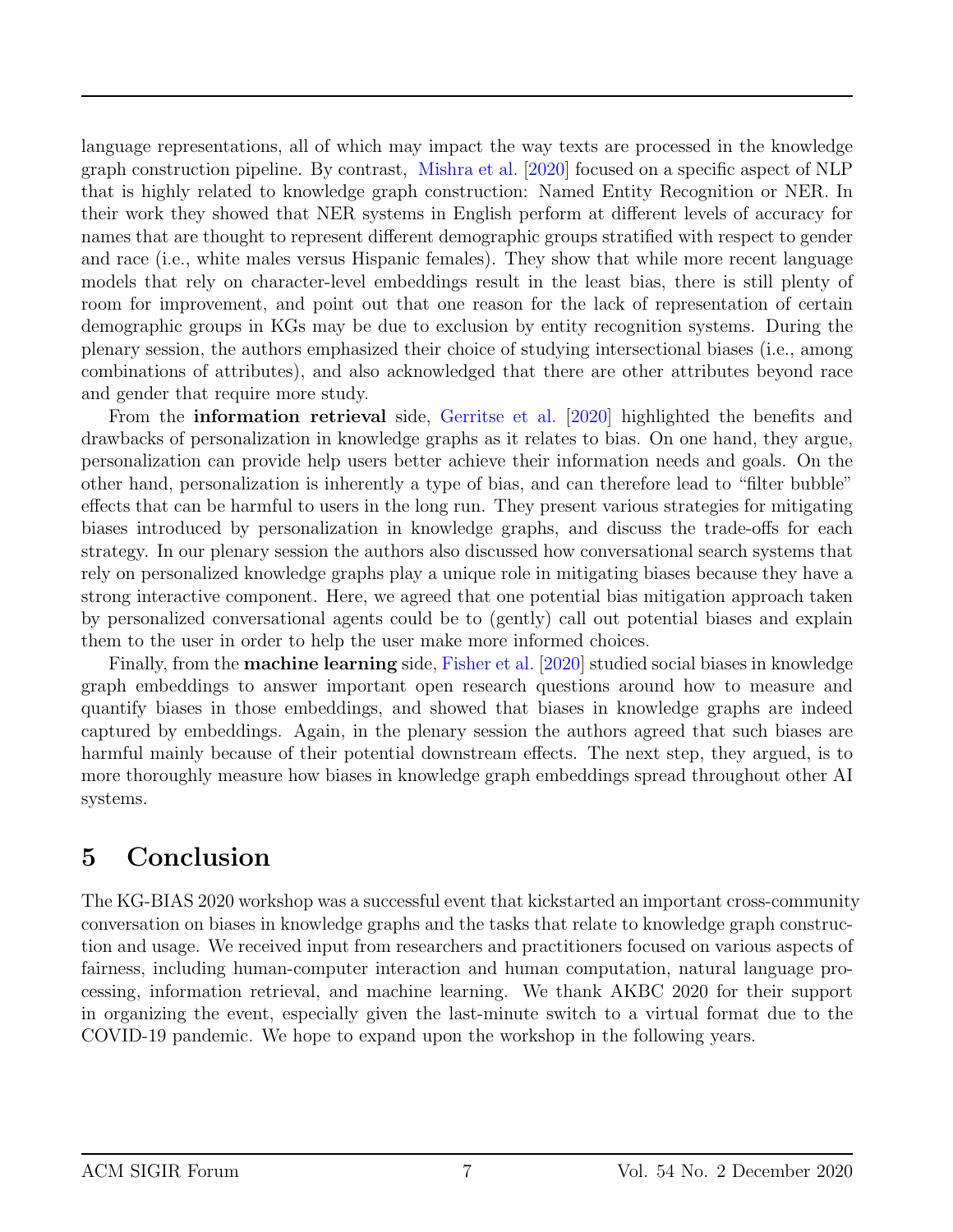language representations, all of which may impact the way texts are processed in the knowledge graph construction pipeline. By contrast, [Mishra et al.](#page-7-10) [\[2020\]](#page-7-10) focused on a specific aspect of NLP that is highly related to knowledge graph construction: Named Entity Recognition or NER. In their work they showed that NER systems in English perform at different levels of accuracy for names that are thought to represent different demographic groups stratified with respect to gender and race (i.e., white males versus Hispanic females). They show that while more recent language models that rely on character-level embeddings result in the least bias, there is still plenty of room for improvement, and point out that one reason for the lack of representation of certain demographic groups in KGs may be due to exclusion by entity recognition systems. During the plenary session, the authors emphasized their choice of studying intersectional biases (i.e., among combinations of attributes), and also acknowledged that there are other attributes beyond race and gender that require more study.

From the information retrieval side, [Gerritse et al.](#page-7-11) [\[2020\]](#page-7-11) highlighted the benefits and drawbacks of personalization in knowledge graphs as it relates to bias. On one hand, they argue, personalization can provide help users better achieve their information needs and goals. On the other hand, personalization is inherently a type of bias, and can therefore lead to "filter bubble" effects that can be harmful to users in the long run. They present various strategies for mitigating biases introduced by personalization in knowledge graphs, and discuss the trade-offs for each strategy. In our plenary session the authors also discussed how conversational search systems that rely on personalized knowledge graphs play a unique role in mitigating biases because they have a strong interactive component. Here, we agreed that one potential bias mitigation approach taken by personalized conversational agents could be to (gently) call out potential biases and explain them to the user in order to help the user make more informed choices.

Finally, from the machine learning side, [Fisher et al.](#page-7-7) [\[2020\]](#page-7-7) studied social biases in knowledge graph embeddings to answer important open research questions around how to measure and quantify biases in those embeddings, and showed that biases in knowledge graphs are indeed captured by embeddings. Again, in the plenary session the authors agreed that such biases are harmful mainly because of their potential downstream effects. The next step, they argued, is to more thoroughly measure how biases in knowledge graph embeddings spread throughout other AI systems.

### 5 Conclusion

The KG-BIAS 2020 workshop was a successful event that kickstarted an important cross-community conversation on biases in knowledge graphs and the tasks that relate to knowledge graph construction and usage. We received input from researchers and practitioners focused on various aspects of fairness, including human-computer interaction and human computation, natural language processing, information retrieval, and machine learning. We thank AKBC 2020 for their support in organizing the event, especially given the last-minute switch to a virtual format due to the COVID-19 pandemic. We hope to expand upon the workshop in the following years.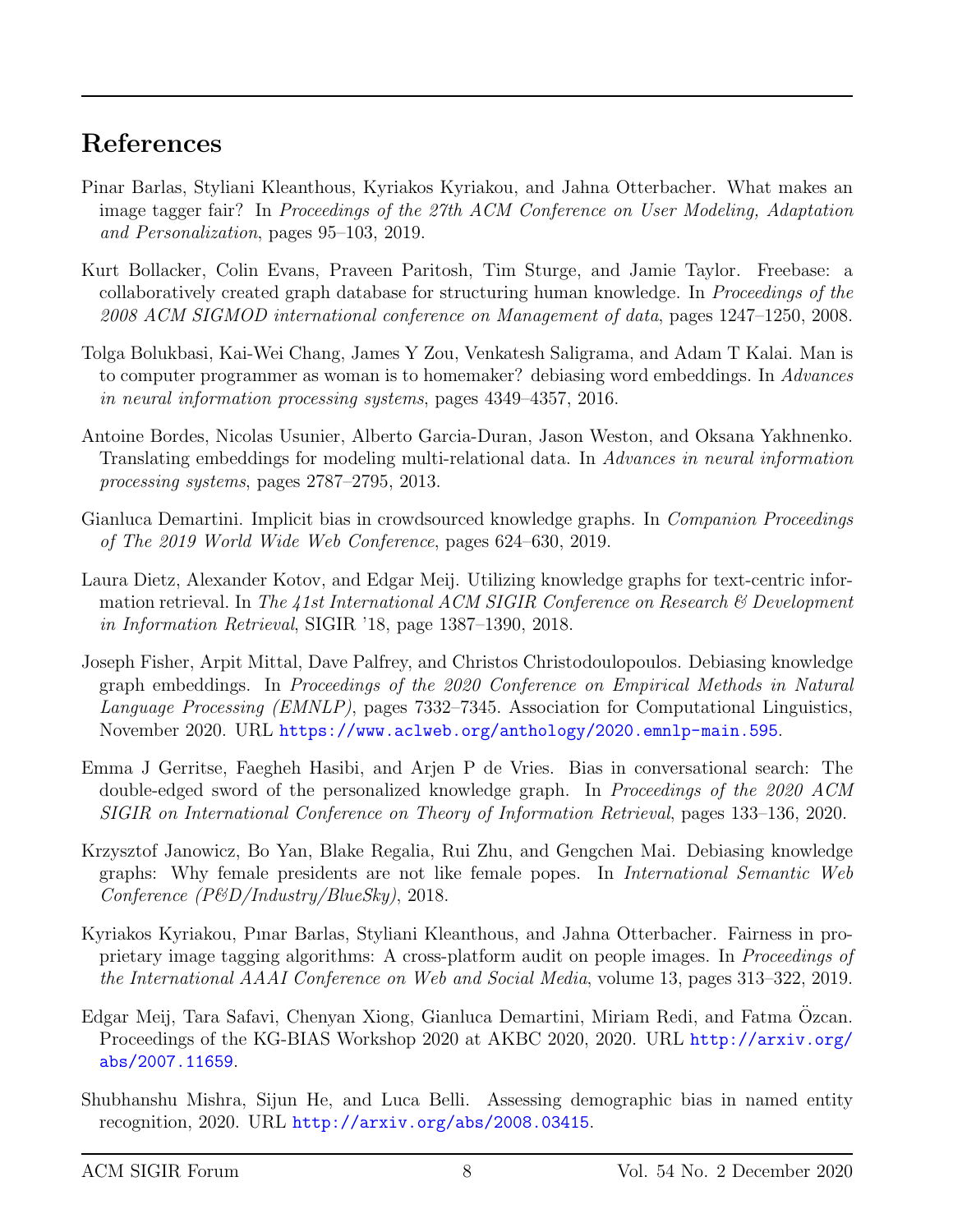### References

- <span id="page-7-6"></span>Pinar Barlas, Styliani Kleanthous, Kyriakos Kyriakou, and Jahna Otterbacher. What makes an image tagger fair? In Proceedings of the 27th ACM Conference on User Modeling, Adaptation and Personalization, pages 95–103, 2019.
- <span id="page-7-4"></span>Kurt Bollacker, Colin Evans, Praveen Paritosh, Tim Sturge, and Jamie Taylor. Freebase: a collaboratively created graph database for structuring human knowledge. In Proceedings of the 2008 ACM SIGMOD international conference on Management of data, pages 1247–1250, 2008.
- <span id="page-7-8"></span>Tolga Bolukbasi, Kai-Wei Chang, James Y Zou, Venkatesh Saligrama, and Adam T Kalai. Man is to computer programmer as woman is to homemaker? debiasing word embeddings. In Advances in neural information processing systems, pages 4349–4357, 2016.
- <span id="page-7-3"></span>Antoine Bordes, Nicolas Usunier, Alberto Garcia-Duran, Jason Weston, and Oksana Yakhnenko. Translating embeddings for modeling multi-relational data. In Advances in neural information processing systems, pages 2787–2795, 2013.
- <span id="page-7-2"></span>Gianluca Demartini. Implicit bias in crowdsourced knowledge graphs. In *Companion Proceedings* of The 2019 World Wide Web Conference, pages 624–630, 2019.
- <span id="page-7-0"></span>Laura Dietz, Alexander Kotov, and Edgar Meij. Utilizing knowledge graphs for text-centric information retrieval. In The 41st International ACM SIGIR Conference on Research  $\mathcal B$  Development in Information Retrieval, SIGIR '18, page 1387–1390, 2018.
- <span id="page-7-7"></span>Joseph Fisher, Arpit Mittal, Dave Palfrey, and Christos Christodoulopoulos. Debiasing knowledge graph embeddings. In Proceedings of the 2020 Conference on Empirical Methods in Natural Language Processing (EMNLP), pages 7332–7345. Association for Computational Linguistics, November 2020. URL <https://www.aclweb.org/anthology/2020.emnlp-main.595>.
- <span id="page-7-11"></span>Emma J Gerritse, Faegheh Hasibi, and Arjen P de Vries. Bias in conversational search: The double-edged sword of the personalized knowledge graph. In Proceedings of the 2020 ACM SIGIR on International Conference on Theory of Information Retrieval, pages 133–136, 2020.
- <span id="page-7-1"></span>Krzysztof Janowicz, Bo Yan, Blake Regalia, Rui Zhu, and Gengchen Mai. Debiasing knowledge graphs: Why female presidents are not like female popes. In International Semantic Web Conference (P&D/Industry/BlueSky), 2018.
- <span id="page-7-5"></span>Kyriakos Kyriakou, Pınar Barlas, Styliani Kleanthous, and Jahna Otterbacher. Fairness in proprietary image tagging algorithms: A cross-platform audit on people images. In Proceedings of the International AAAI Conference on Web and Social Media, volume 13, pages 313–322, 2019.
- <span id="page-7-9"></span>Edgar Meij, Tara Safavi, Chenyan Xiong, Gianluca Demartini, Miriam Redi, and Fatma Ozcan. ¨ Proceedings of the KG-BIAS Workshop 2020 at AKBC 2020, 2020. URL [http://arxiv.org/](http://arxiv.org/abs/2007.11659) [abs/2007.11659](http://arxiv.org/abs/2007.11659).
- <span id="page-7-10"></span>Shubhanshu Mishra, Sijun He, and Luca Belli. Assessing demographic bias in named entity recognition, 2020. URL <http://arxiv.org/abs/2008.03415>.